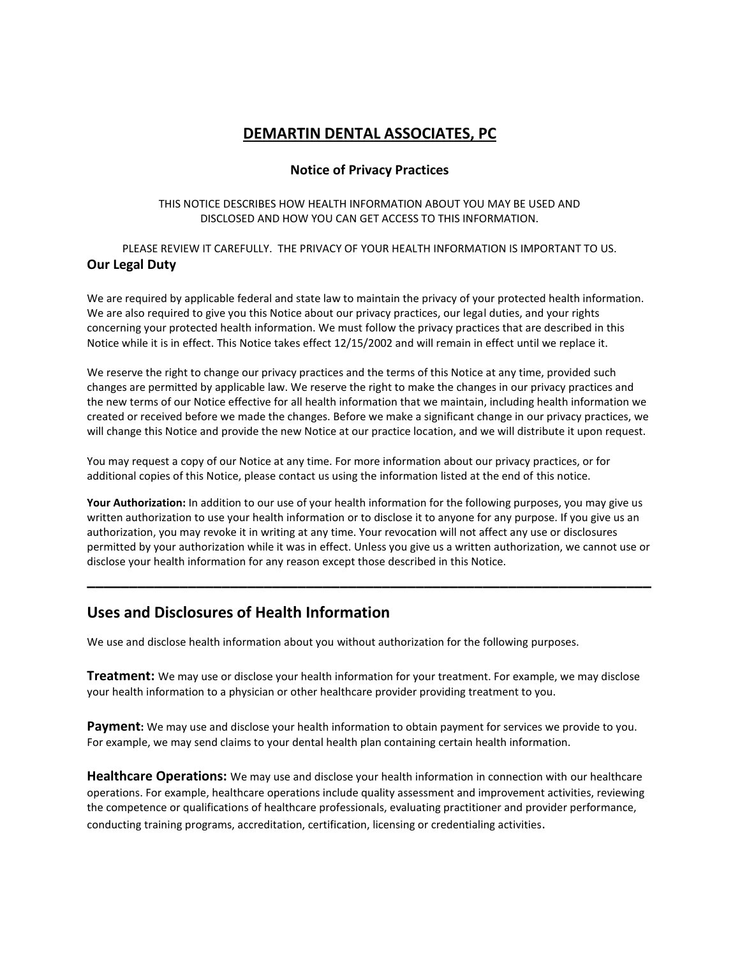# **DEMARTIN DENTAL ASSOCIATES, PC**

### **Notice of Privacy Practices**

#### THIS NOTICE DESCRIBES HOW HEALTH INFORMATION ABOUT YOU MAY BE USED AND DISCLOSED AND HOW YOU CAN GET ACCESS TO THIS INFORMATION.

### PLEASE REVIEW IT CAREFULLY. THE PRIVACY OF YOUR HEALTH INFORMATION IS IMPORTANT TO US. **Our Legal Duty**

We are required by applicable federal and state law to maintain the privacy of your protected health information. We are also required to give you this Notice about our privacy practices, our legal duties, and your rights concerning your protected health information. We must follow the privacy practices that are described in this Notice while it is in effect. This Notice takes effect 12/15/2002 and will remain in effect until we replace it.

We reserve the right to change our privacy practices and the terms of this Notice at any time, provided such changes are permitted by applicable law. We reserve the right to make the changes in our privacy practices and the new terms of our Notice effective for all health information that we maintain, including health information we created or received before we made the changes. Before we make a significant change in our privacy practices, we will change this Notice and provide the new Notice at our practice location, and we will distribute it upon request.

You may request a copy of our Notice at any time. For more information about our privacy practices, or for additional copies of this Notice, please contact us using the information listed at the end of this notice.

**Your Authorization:** In addition to our use of your health information for the following purposes, you may give us written authorization to use your health information or to disclose it to anyone for any purpose. If you give us an authorization, you may revoke it in writing at any time. Your revocation will not affect any use or disclosures permitted by your authorization while it was in effect. Unless you give us a written authorization, we cannot use or disclose your health information for any reason except those described in this Notice.

**\_\_\_\_\_\_\_\_\_\_\_\_\_\_\_\_\_\_\_\_\_\_\_\_\_\_\_\_\_\_\_\_\_\_\_\_\_\_\_\_\_\_\_\_\_\_\_\_\_\_\_\_\_\_\_\_\_\_\_\_\_\_\_\_\_\_\_**

## **Uses and Disclosures of Health Information**

We use and disclose health information about you without authorization for the following purposes.

**Treatment:** We may use or disclose your health information for your treatment. For example, we may disclose your health information to a physician or other healthcare provider providing treatment to you.

**Payment:** We may use and disclose your health information to obtain payment for services we provide to you. For example, we may send claims to your dental health plan containing certain health information.

**Healthcare Operations:** We may use and disclose your health information in connection with our healthcare operations. For example, healthcare operations include quality assessment and improvement activities, reviewing the competence or qualifications of healthcare professionals, evaluating practitioner and provider performance, conducting training programs, accreditation, certification, licensing or credentialing activities.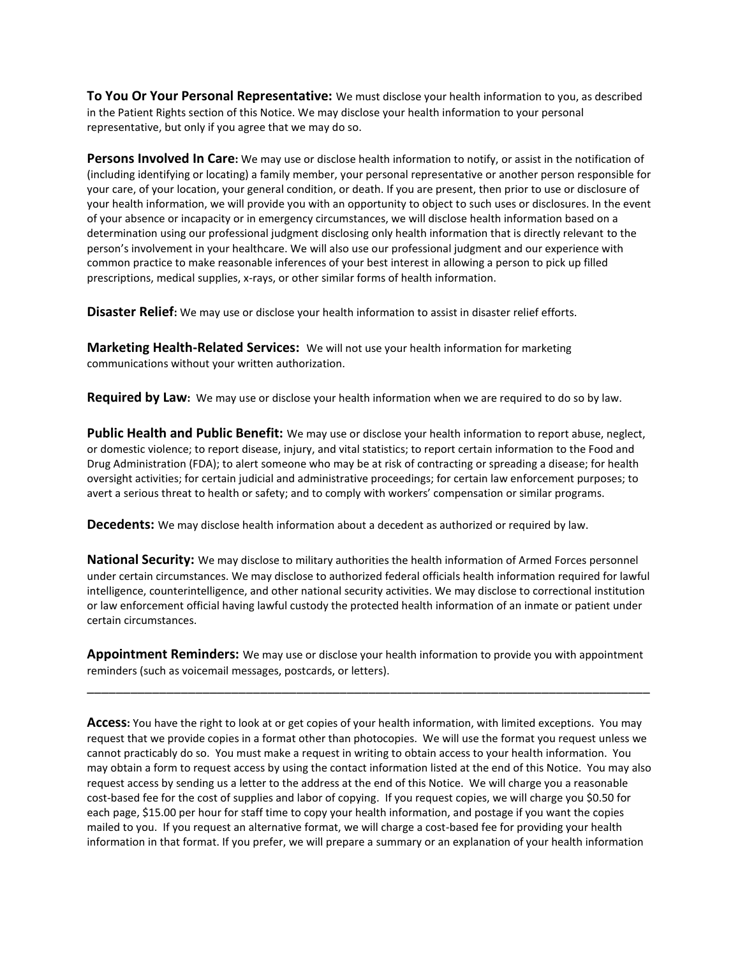**To You Or Your Personal Representative:** We must disclose your health information to you, as described in the Patient Rights section of this Notice. We may disclose your health information to your personal representative, but only if you agree that we may do so.

**Persons Involved In Care:** We may use or disclose health information to notify, or assist in the notification of (including identifying or locating) a family member, your personal representative or another person responsible for your care, of your location, your general condition, or death. If you are present, then prior to use or disclosure of your health information, we will provide you with an opportunity to object to such uses or disclosures. In the event of your absence or incapacity or in emergency circumstances, we will disclose health information based on a determination using our professional judgment disclosing only health information that is directly relevant to the person's involvement in your healthcare. We will also use our professional judgment and our experience with common practice to make reasonable inferences of your best interest in allowing a person to pick up filled prescriptions, medical supplies, x-rays, or other similar forms of health information.

**Disaster Relief:** We may use or disclose your health information to assist in disaster relief efforts.

**Marketing Health-Related Services:** We will not use your health information for marketing communications without your written authorization.

**Required by Law:** We may use or disclose your health information when we are required to do so by law.

**Public Health and Public Benefit:** We may use or disclose your health information to report abuse, neglect, or domestic violence; to report disease, injury, and vital statistics; to report certain information to the Food and Drug Administration (FDA); to alert someone who may be at risk of contracting or spreading a disease; for health oversight activities; for certain judicial and administrative proceedings; for certain law enforcement purposes; to avert a serious threat to health or safety; and to comply with workers' compensation or similar programs.

**Decedents:** We may disclose health information about a decedent as authorized or required by law.

**National Security:** We may disclose to military authorities the health information of Armed Forces personnel under certain circumstances. We may disclose to authorized federal officials health information required for lawful intelligence, counterintelligence, and other national security activities. We may disclose to correctional institution or law enforcement official having lawful custody the protected health information of an inmate or patient under certain circumstances.

**Appointment Reminders:** We may use or disclose your health information to provide you with appointment reminders (such as voicemail messages, postcards, or letters).

\_\_\_\_\_\_\_\_\_\_\_\_\_\_\_\_\_\_\_\_\_\_\_\_\_\_\_\_\_\_\_\_\_\_\_\_\_\_\_\_\_\_\_\_\_\_\_\_\_\_\_\_\_\_\_\_\_\_\_\_\_\_\_\_\_\_\_\_\_\_\_\_\_\_\_\_\_\_

**Access:** You have the right to look at or get copies of your health information, with limited exceptions. You may request that we provide copies in a format other than photocopies. We will use the format you request unless we cannot practicably do so. You must make a request in writing to obtain access to your health information. You may obtain a form to request access by using the contact information listed at the end of this Notice. You may also request access by sending us a letter to the address at the end of this Notice. We will charge you a reasonable cost-based fee for the cost of supplies and labor of copying. If you request copies, we will charge you \$0.50 for each page, \$15.00 per hour for staff time to copy your health information, and postage if you want the copies mailed to you. If you request an alternative format, we will charge a cost-based fee for providing your health information in that format. If you prefer, we will prepare a summary or an explanation of your health information